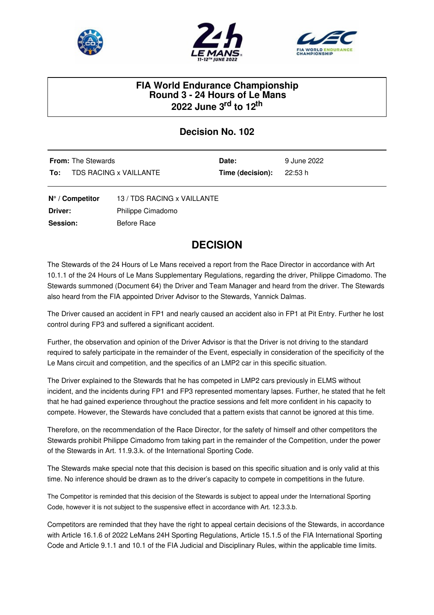





## FIA World Endurance Championship<br>Round 3 - 24 Hours of Le Mans 2022 June 3rd to 12th

## **Decision No. 102**

|     | <b>From:</b> The Stewards | Date:                             | 9 June 2022 |
|-----|---------------------------|-----------------------------------|-------------|
| To: | TDS RACING x VAILLANTE    | <b>Time (decision):</b> $22:53 h$ |             |

N° / Competitor 13 / TDS RACING x VAILLANTE Driver: Philippe Cimadomo Before Race Session:

## **DECISION**

The Stewards of the 24 Hours of Le Mans received a report from the Race Director in accordance with Art 10.1.1 of the 24 Hours of Le Mans Supplementary Regulations, regarding the driver, Philippe Cimadomo. The Stewards summoned (Document 64) the Driver and Team Manager and heard from the driver. The Stewards also heard from the FIA appointed Driver Advisor to the Stewards, Yannick Dalmas.

The Driver caused an accident in FP1 and nearly caused an accident also in FP1 at Pit Entry. Further he lost control during FP3 and suffered a significant accident.

Further, the observation and opinion of the Driver Advisor is that the Driver is not driving to the standard required to safely participate in the remainder of the Event, especially in consideration of the specificity of the Le Mans circuit and competition, and the specifics of an LMP2 car in this specific situation.

The Driver explained to the Stewards that he has competed in LMP2 cars previously in ELMS without incident, and the incidents during FP1 and FP3 represented momentary lapses. Further, he stated that he felt that he had gained experience throughout the practice sessions and felt more confident in his capacity to compete. However, the Stewards have concluded that a pattern exists that cannot be janored at this time.

Therefore, on the recommendation of the Race Director, for the safety of himself and other competitors the Stewards prohibit Philippe Cimadomo from taking part in the remainder of the Competition, under the power of the Stewards in Art. 11.9.3.k. of the International Sporting Code.

The Stewards make special note that this decision is based on this specific situation and is only valid at this time. No inference should be drawn as to the driver's capacity to compete in competitions in the future.

The Competitor is reminded that this decision of the Stewards is subject to appeal under the International Sporting Code, however it is not subject to the suspensive effect in accordance with Art. 12.3.3.b.

Competitors are reminded that they have the right to appeal certain decisions of the Stewards, in accordance with Article 16.1.6 of 2022 LeMans 24H Sporting Regulations, Article 15.1.5 of the FIA International Sporting Code and Article 9.1.1 and 10.1 of the FIA Judicial and Disciplinary Rules, within the applicable time limits.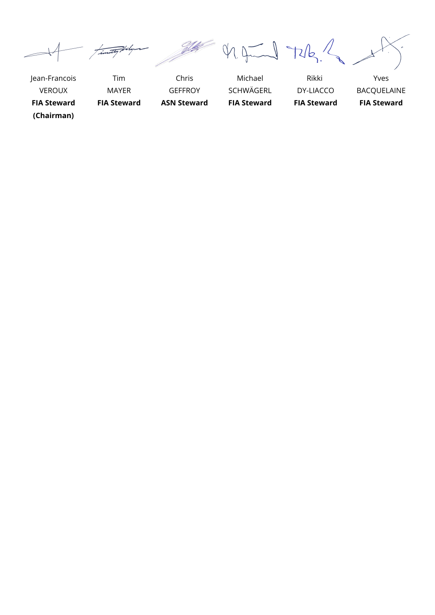imity

 $4.4 - 1762$ 

**(Chairman)**

Jean-Francois Tim Chris Michael Rikki Yves

VEROUX MAYER GEFFROY SCHWÄGERL DY-LIACCO BACQUELAINE **FIA Steward FIA Steward ASN Steward FIA Steward FIA Steward FIA Steward**